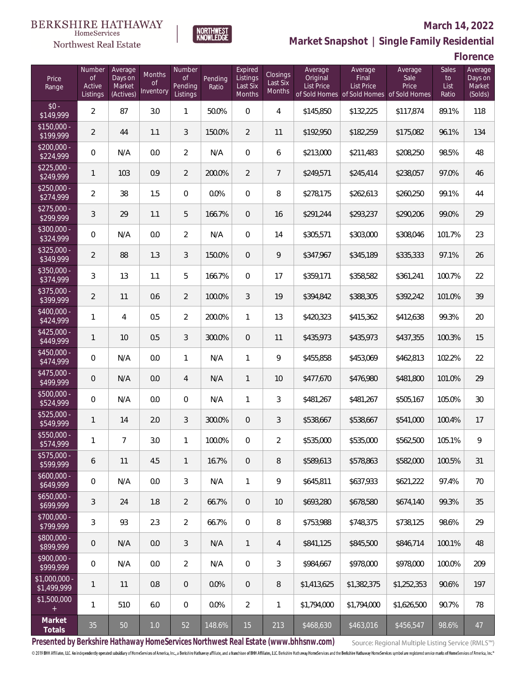

### **March 14, 2022**

**Market Snapshot | Single Family Residential**

**Florence**

| Price<br>Range               | Number<br><b>of</b><br>Active<br>Listings | Average<br>Days on<br>Market<br>(Actives) | Months<br>0f<br>Inventory | Number<br>0f<br>Pending<br>Listings | Pending<br>Ratio | Expired<br>Listings<br>Last Six<br>Months | Closings<br>Last Six<br><b>Months</b> | Average<br>Original<br><b>List Price</b> | Average<br>Final<br><b>List Price</b> | Average<br>Sale<br>Price<br>of Sold Homes of Sold Homes of Sold Homes | <b>Sales</b><br>to<br>List<br>Ratio | Average<br>Days on<br>Market<br>(Solds) |
|------------------------------|-------------------------------------------|-------------------------------------------|---------------------------|-------------------------------------|------------------|-------------------------------------------|---------------------------------------|------------------------------------------|---------------------------------------|-----------------------------------------------------------------------|-------------------------------------|-----------------------------------------|
| $$0 -$<br>\$149,999          | $\overline{2}$                            | 87                                        | 3.0                       | 1                                   | 50.0%            | $\overline{0}$                            | 4                                     | \$145,850                                | \$132,225                             | \$117,874                                                             | 89.1%                               | 118                                     |
| $$150,000 -$<br>\$199,999    | $\overline{2}$                            | 44                                        | 1.1                       | 3                                   | 150.0%           | $\overline{2}$                            | 11                                    | \$192,950                                | \$182,259                             | \$175,082                                                             | 96.1%                               | 134                                     |
| $$200,000 -$<br>\$224,999    | 0                                         | N/A                                       | 0.0                       | $\overline{2}$                      | N/A              | $\overline{0}$                            | 6                                     | \$213,000                                | \$211,483                             | \$208,250                                                             | 98.5%                               | 48                                      |
| $$225,000 -$<br>\$249,999    | 1                                         | 103                                       | 0.9                       | 2                                   | 200.0%           | $\overline{2}$                            | $\overline{7}$                        | \$249,571                                | \$245,414                             | \$238,057                                                             | 97.0%                               | 46                                      |
| $$250.000 -$<br>\$274,999    | $\overline{2}$                            | 38                                        | 1.5                       | $\mathbf{0}$                        | 0.0%             | $\overline{0}$                            | 8                                     | \$278,175                                | \$262,613                             | \$260,250                                                             | 99.1%                               | 44                                      |
| $$275.000 -$<br>\$299,999    | 3                                         | 29                                        | 1.1                       | 5                                   | 166.7%           | $\overline{0}$                            | 16                                    | \$291,244                                | \$293,237                             | \$290,206                                                             | 99.0%                               | 29                                      |
| \$300,000 -<br>\$324,999     | 0                                         | N/A                                       | 0.0                       | $\overline{2}$                      | N/A              | $\overline{0}$                            | 14                                    | \$305,571                                | \$303,000                             | \$308,046                                                             | 101.7%                              | 23                                      |
| $$325,000 -$<br>\$349,999    | $\overline{2}$                            | 88                                        | 1.3                       | 3                                   | 150.0%           | $\overline{0}$                            | 9                                     | \$347,967                                | \$345,189                             | \$335,333                                                             | 97.1%                               | 26                                      |
| $$350,000 -$<br>\$374,999    | 3                                         | 13                                        | 1.1                       | 5                                   | 166.7%           | $\overline{0}$                            | 17                                    | \$359,171                                | \$358,582                             | \$361,241                                                             | 100.7%                              | 22                                      |
| \$375,000 -<br>\$399,999     | $\overline{2}$                            | 11                                        | 0.6                       | $\overline{2}$                      | 100.0%           | 3                                         | 19                                    | \$394,842                                | \$388,305                             | \$392,242                                                             | 101.0%                              | 39                                      |
| \$400,000 -<br>\$424,999     | 1                                         | 4                                         | 0.5                       | $\overline{2}$                      | 200.0%           | $\mathbf{1}$                              | 13                                    | \$420,323                                | \$415,362                             | \$412,638                                                             | 99.3%                               | 20                                      |
| $$425,000 -$<br>\$449,999    | 1                                         | 10                                        | 0.5                       | 3                                   | 300.0%           | $\overline{0}$                            | 11                                    | \$435,973                                | \$435,973                             | \$437,355                                                             | 100.3%                              | 15                                      |
| \$450,000 -<br>\$474,999     | 0                                         | N/A                                       | 0.0                       | 1                                   | N/A              | $\mathbf{1}$                              | 9                                     | \$455,858                                | \$453,069                             | \$462,813                                                             | 102.2%                              | 22                                      |
| \$475,000 -<br>\$499,999     | 0                                         | N/A                                       | 0.0                       | $\overline{4}$                      | N/A              | $\mathbf{1}$                              | 10                                    | \$477,670                                | \$476,980                             | \$481,800                                                             | 101.0%                              | 29                                      |
| $$500,000 -$<br>\$524,999    | 0                                         | N/A                                       | 0.0                       | $\mathbf{0}$                        | N/A              | $\mathbf{1}$                              | 3                                     | \$481,267                                | \$481,267                             | \$505,167                                                             | 105.0%                              | 30                                      |
| $$525,000 -$<br>\$549,999    | 1                                         | 14                                        | 2.0                       | 3                                   | 300.0%           | $\overline{0}$                            | 3                                     | \$538,667                                | \$538,667                             | \$541,000                                                             | 100.4%                              | 17                                      |
| \$550,000 -<br>\$574,999     | 1                                         | $\overline{7}$                            | 3.0                       | 1                                   | 100.0%           | 0                                         | 2                                     | \$535,000                                | \$535,000                             | \$562,500                                                             | 105.1%                              | 9                                       |
| $$575,000 -$<br>\$599,999    | 6                                         | 11                                        | 4.5                       | $\mathbf{1}$                        | 16.7%            | $\mathbf 0$                               | 8                                     | \$589,613                                | \$578,863                             | \$582,000                                                             | 100.5%                              | 31                                      |
| $$600,000 -$<br>\$649,999    | 0                                         | N/A                                       | 0.0                       | 3                                   | N/A              | $\mathbf{1}$                              | 9                                     | \$645,811                                | \$637,933                             | \$621,222                                                             | 97.4%                               | 70                                      |
| $$650,000 -$<br>\$699,999    | 3                                         | 24                                        | 1.8                       | $\overline{2}$                      | 66.7%            | $\overline{0}$                            | 10                                    | \$693,280                                | \$678,580                             | \$674,140                                                             | 99.3%                               | 35                                      |
| $$700,000 -$<br>\$799,999    | 3                                         | 93                                        | 2.3                       | $\overline{2}$                      | 66.7%            | $\mathbb O$                               | 8                                     | \$753,988                                | \$748,375                             | \$738,125                                                             | 98.6%                               | 29                                      |
| \$800,000 -<br>\$899,999     | $\mathbf 0$                               | N/A                                       | 0.0                       | 3                                   | N/A              | $\mathbf{1}$                              | 4                                     | \$841,125                                | \$845,500                             | \$846,714                                                             | 100.1%                              | 48                                      |
| $$900,000 -$<br>\$999,999    | 0                                         | N/A                                       | 0.0                       | $\overline{2}$                      | N/A              | 0                                         | 3                                     | \$984,667                                | \$978,000                             | \$978,000                                                             | 100.0%                              | 209                                     |
| \$1,000,000 -<br>\$1,499,999 | $\mathbf{1}$                              | 11                                        | 0.8                       | $\overline{0}$                      | 0.0%             | $\overline{0}$                            | 8                                     | \$1,413,625                              | \$1,382,375                           | \$1,252,353                                                           | 90.6%                               | 197                                     |
| \$1,500,000<br>$+$           | 1                                         | 510                                       | 6.0                       | $\overline{0}$                      | 0.0%             | $\overline{2}$                            | 1                                     | \$1,794,000                              | \$1,794,000                           | \$1,626,500                                                           | 90.7%                               | 78                                      |
| Market<br>Totals             | 35                                        | 50                                        | $1.0\,$                   | 52                                  | 148.6%           | 15                                        | 213                                   | \$468,630                                | \$463,016                             | \$456,547                                                             | 98.6%                               | 47                                      |

**NORTHWEST**<br>KNOWLEDGE

**Presented by Berkshire Hathaway HomeServices Northwest Real Estate (www.bhhsnw.com)**

Source: Regional Multiple Listing Service (RMLS™)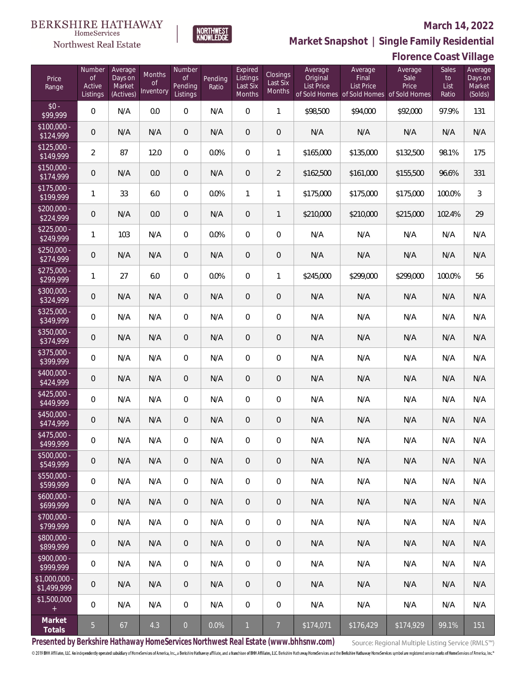### Northwest Real Estate

### **March 14, 2022**



|                                  |                                           |                                           |                           |                                            |                  |                                           |                                |                                          |                                                                             | Florence Coast Village   |                              |                                         |
|----------------------------------|-------------------------------------------|-------------------------------------------|---------------------------|--------------------------------------------|------------------|-------------------------------------------|--------------------------------|------------------------------------------|-----------------------------------------------------------------------------|--------------------------|------------------------------|-----------------------------------------|
| Price<br>Range                   | Number<br><b>of</b><br>Active<br>Listings | Average<br>Days on<br>Market<br>(Actives) | Months<br>0f<br>Inventory | Number<br><b>of</b><br>Pending<br>Listings | Pending<br>Ratio | Expired<br>Listings<br>Last Six<br>Months | Closings<br>Last Six<br>Months | Average<br>Original<br><b>List Price</b> | Average<br>Final<br>List Price<br>of Sold Homes of Sold Homes of Sold Homes | Average<br>Sale<br>Price | Sales<br>to<br>List<br>Ratio | Average<br>Days on<br>Market<br>(Solds) |
| $$0 -$<br>\$99,999               | $\boldsymbol{0}$                          | N/A                                       | 0.0                       | $\mathbf 0$                                | N/A              | $\boldsymbol{0}$                          | $\mathbf{1}$                   | \$98,500                                 | \$94,000                                                                    | \$92,000                 | 97.9%                        | 131                                     |
| $$100,000 -$<br>\$124,999        | $\mathbf 0$                               | N/A                                       | N/A                       | $\overline{0}$                             | N/A              | $\overline{0}$                            | $\mathbf 0$                    | N/A                                      | N/A                                                                         | N/A                      | N/A                          | N/A                                     |
| $$125,000 -$<br>\$149,999        | $\overline{2}$                            | 87                                        | 12.0                      | $\overline{0}$                             | 0.0%             | $\overline{0}$                            | 1                              | \$165,000                                | \$135,000                                                                   | \$132,500                | 98.1%                        | 175                                     |
| $$150,000 -$<br>\$174,999        | $\mathbf 0$                               | N/A                                       | 0.0                       | $\overline{0}$                             | N/A              | $\mathbf 0$                               | $\overline{2}$                 | \$162,500                                | \$161,000                                                                   | \$155,500                | 96.6%                        | 331                                     |
| $$175,000 -$<br>\$199,999        | 1                                         | 33                                        | 6.0                       | $\overline{0}$                             | 0.0%             | $\mathbf{1}$                              | 1                              | \$175,000                                | \$175,000                                                                   | \$175,000                | 100.0%                       | 3                                       |
| $$200,000 -$<br>\$224,999        | 0                                         | N/A                                       | 0.0                       | $\mathbf 0$                                | N/A              | $\mathbf 0$                               | $\mathbf{1}$                   | \$210,000                                | \$210,000                                                                   | \$215,000                | 102.4%                       | 29                                      |
| $$225,000 -$<br>\$249,999        | 1                                         | 103                                       | N/A                       | $\mathbf{0}$                               | 0.0%             | $\overline{0}$                            | 0                              | N/A                                      | N/A                                                                         | N/A                      | N/A                          | N/A                                     |
| $$250,000 -$<br>\$274,999        | $\mathbf 0$                               | N/A                                       | N/A                       | $\overline{0}$                             | N/A              | $\mathbf 0$                               | $\mathsf{O}\xspace$            | N/A                                      | N/A                                                                         | N/A                      | N/A                          | N/A                                     |
| $$275,000 -$<br>\$299,999        | 1                                         | 27                                        | 6.0                       | $\overline{0}$                             | 0.0%             | $\overline{0}$                            | 1                              | \$245,000                                | \$299,000                                                                   | \$299,000                | 100.0%                       | 56                                      |
| $\sqrt{$300,000}$ -<br>\$324,999 | $\mathbf 0$                               | N/A                                       | N/A                       | $\overline{0}$                             | N/A              | $\overline{0}$                            | $\mathbf 0$                    | N/A                                      | N/A                                                                         | N/A                      | N/A                          | N/A                                     |
| $$325.000 -$<br>\$349,999        | 0                                         | N/A                                       | N/A                       | $\mathbf{0}$                               | N/A              | 0                                         | $\mathbf 0$                    | N/A                                      | N/A                                                                         | N/A                      | N/A                          | N/A                                     |
| \$350,000 -<br>\$374,999         | $\mathbf 0$                               | N/A                                       | N/A                       | $\overline{0}$                             | N/A              | $\overline{0}$                            | $\mathbf 0$                    | N/A                                      | N/A                                                                         | N/A                      | N/A                          | N/A                                     |
| \$375,000 -<br>\$399,999         | 0                                         | N/A                                       | N/A                       | $\overline{0}$                             | N/A              | $\overline{0}$                            | $\mathbf 0$                    | N/A                                      | N/A                                                                         | N/A                      | N/A                          | N/A                                     |
| \$400,000 -<br>\$424,999         | 0                                         | N/A                                       | N/A                       | $\overline{0}$                             | N/A              | $\overline{0}$                            | $\mathbf 0$                    | N/A                                      | N/A                                                                         | N/A                      | N/A                          | N/A                                     |
| $$425,000 -$<br>\$449,999        | 0                                         | N/A                                       | N/A                       | $\overline{0}$                             | N/A              | $\overline{0}$                            | $\mathbf 0$                    | N/A                                      | N/A                                                                         | N/A                      | N/A                          | N/A                                     |
| \$450,000 -<br>\$474,999         | $\mathbf 0$                               | N/A                                       | N/A                       | $\overline{0}$                             | N/A              | $\overline{0}$                            | $\mathbf 0$                    | N/A                                      | N/A                                                                         | N/A                      | N/A                          | N/A                                     |
| $$475,000 -$<br>\$499,999        | 0                                         | N/A                                       | N/A                       | $\mathbf{0}$                               | N/A              | 0                                         | 0                              | N/A                                      | N/A                                                                         | N/A                      | N/A                          | N/A                                     |
| \$500,000 -<br>\$549,999         | $\mathbf 0$                               | N/A                                       | N/A                       | $\overline{0}$                             | N/A              | $\overline{0}$                            | $\overline{0}$                 | N/A                                      | N/A                                                                         | N/A                      | N/A                          | N/A                                     |
| \$550,000 -<br>\$599,999         | 0                                         | N/A                                       | N/A                       | $\overline{0}$                             | N/A              | $\overline{0}$                            | $\mathbf{0}$                   | N/A                                      | N/A                                                                         | N/A                      | N/A                          | N/A                                     |
| $$600,000 -$<br>\$699,999        | $\mathbf 0$                               | N/A                                       | N/A                       | $\sqrt{0}$                                 | N/A              | $\mathbf 0$                               | $\overline{0}$                 | N/A                                      | N/A                                                                         | N/A                      | N/A                          | N/A                                     |
| $$700,000 -$<br>\$799,999        | $\overline{0}$                            | N/A                                       | N/A                       | $\mathbf 0$                                | N/A              | $\mathbf 0$                               | $\mathbf{0}$                   | N/A                                      | N/A                                                                         | N/A                      | N/A                          | N/A                                     |
| \$800,000 -<br>\$899,999         | $\mathbf 0$                               | N/A                                       | N/A                       | $\overline{0}$                             | N/A              | $\mathbf 0$                               | $\overline{0}$                 | N/A                                      | N/A                                                                         | N/A                      | N/A                          | N/A                                     |
| $$900,000 -$<br>\$999,999        | 0                                         | N/A                                       | N/A                       | $\mathbf 0$                                | N/A              | $\mathbf 0$                               | $\mathbf{0}$                   | N/A                                      | N/A                                                                         | N/A                      | N/A                          | N/A                                     |
| $$1,000,000 -$<br>\$1,499,999    | $\mathbf 0$                               | N/A                                       | N/A                       | $\sqrt{0}$                                 | N/A              | $\overline{0}$                            | $\theta$                       | N/A                                      | N/A                                                                         | N/A                      | N/A                          | N/A                                     |
| \$1,500,000<br>$+$               | $\overline{0}$                            | N/A                                       | N/A                       | $\mathbf 0$                                | N/A              | $\mathbf 0$                               | $\mathbf 0$                    | N/A                                      | N/A                                                                         | N/A                      | N/A                          | N/A                                     |
| Market<br>Totals                 | $\overline{5}$                            | 67                                        | 4.3                       | $\mathsf{O}$                               | 0.0%             | $\mathbf{1}$                              | $\overline{7}$                 | \$174,071                                | \$176,429                                                                   | \$174,929                | 99.1%                        | 151                                     |

NORTHWEST<br>KNOWLFDGF

**Presented by Berkshire Hathaway HomeServices Northwest Real Estate (www.bhhsnw.com)**

Source: Regional Multiple Listing Service (RMLS™)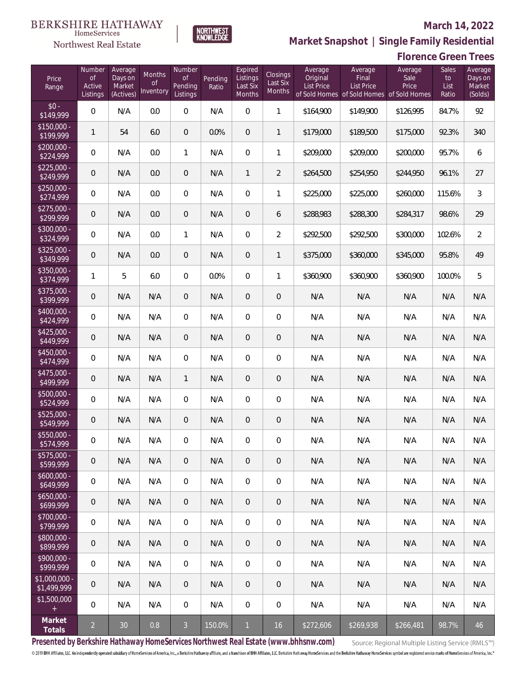### Northwest Real Estate

### **March 14, 2022**

**Market Snapshot | Single Family Residential**

### **Florence Green Trees**

| Price<br>Range               | Number<br><b>of</b><br>Active<br>Listings | Average<br>Days on<br>Market<br>(Actives) | <b>Months</b><br><b>of</b><br>Inventory | Number<br><b>of</b><br>Pending<br>Listings | Pending<br>Ratio | Expired<br>Listings<br>Last Six<br>Months | Closings<br>Last Six<br>Months | Average<br>Original<br><b>List Price</b> | Average<br>Final<br><b>List Price</b><br>of Sold Homes of Sold Homes of Sold Homes | Average<br>Sale<br>Price | <b>Sales</b><br>to<br>List<br>Ratio | Average<br>Days on<br>Market<br>(Solds) |
|------------------------------|-------------------------------------------|-------------------------------------------|-----------------------------------------|--------------------------------------------|------------------|-------------------------------------------|--------------------------------|------------------------------------------|------------------------------------------------------------------------------------|--------------------------|-------------------------------------|-----------------------------------------|
| $$0 -$<br>\$149,999          | $\Omega$                                  | N/A                                       | 0.0                                     | $\Omega$                                   | N/A              | $\Omega$                                  | $\mathbf{1}$                   | \$164,900                                | \$149,900                                                                          | \$126,995                | 84.7%                               | 92                                      |
| $$150,000 -$<br>\$199,999    | $\mathbf{1}$                              | 54                                        | 6.0                                     | $\overline{0}$                             | 0.0%             | $\overline{0}$                            | $\mathbf{1}$                   | \$179,000                                | \$189,500                                                                          | \$175,000                | 92.3%                               | 340                                     |
| $$200,000 -$<br>\$224,999    | $\overline{0}$                            | N/A                                       | 0.0                                     | $\mathbf{1}$                               | N/A              | $\overline{0}$                            | 1                              | \$209,000                                | \$209,000                                                                          | \$200,000                | 95.7%                               | 6                                       |
| $$225,000 -$<br>\$249,999    | $\mathbf 0$                               | N/A                                       | 0.0                                     | $\overline{0}$                             | N/A              | $\mathbf{1}$                              | $\overline{2}$                 | \$264,500                                | \$254,950                                                                          | \$244,950                | 96.1%                               | 27                                      |
| $$250,000 -$<br>\$274,999    | $\overline{0}$                            | N/A                                       | 0.0                                     | $\overline{0}$                             | N/A              | $\overline{0}$                            | $\mathbf{1}$                   | \$225,000                                | \$225,000                                                                          | \$260,000                | 115.6%                              | 3                                       |
| $$275,000 -$<br>\$299,999    | $\mathbf 0$                               | N/A                                       | 0.0                                     | $\overline{0}$                             | N/A              | $\overline{0}$                            | 6                              | \$288,983                                | \$288,300                                                                          | \$284,317                | 98.6%                               | 29                                      |
| \$300,000 -<br>\$324,999     | 0                                         | N/A                                       | 0.0                                     | $\mathbf{1}$                               | N/A              | 0                                         | $\overline{2}$                 | \$292,500                                | \$292,500                                                                          | \$300,000                | 102.6%                              | $\overline{2}$                          |
| $$325,000 -$<br>\$349,999    | $\mathbf 0$                               | N/A                                       | 0.0                                     | $\overline{0}$                             | N/A              | $\overline{0}$                            | 1                              | \$375,000                                | \$360,000                                                                          | \$345,000                | 95.8%                               | 49                                      |
| \$350,000 -<br>\$374,999     | 1                                         | 5                                         | 6.0                                     | $\overline{0}$                             | 0.0%             | $\overline{0}$                            | 1                              | \$360,900                                | \$360,900                                                                          | \$360,900                | 100.0%                              | 5                                       |
| $$375,000 -$<br>\$399,999    | $\mathbf 0$                               | N/A                                       | N/A                                     | $\overline{0}$                             | N/A              | $\overline{0}$                            | $\mathbf 0$                    | N/A                                      | N/A                                                                                | N/A                      | N/A                                 | N/A                                     |
| $$400,000 -$<br>\$424,999    | 0                                         | N/A                                       | N/A                                     | $\mathbf{0}$                               | N/A              | $\mathbf{0}$                              | 0                              | N/A                                      | N/A                                                                                | N/A                      | N/A                                 | N/A                                     |
| $$425,000 -$<br>\$449,999    | $\mathbf 0$                               | N/A                                       | N/A                                     | $\overline{0}$                             | N/A              | $\overline{0}$                            | $\mathbf 0$                    | N/A                                      | N/A                                                                                | N/A                      | N/A                                 | N/A                                     |
| $$450,000 -$<br>\$474,999    | $\overline{0}$                            | N/A                                       | N/A                                     | $\overline{0}$                             | N/A              | $\Omega$                                  | $\overline{0}$                 | N/A                                      | N/A                                                                                | N/A                      | N/A                                 | N/A                                     |
| $$475,000 -$<br>\$499,999    | $\mathbf 0$                               | N/A                                       | N/A                                     | $\mathbf{1}$                               | N/A              | $\overline{0}$                            | $\overline{0}$                 | N/A                                      | N/A                                                                                | N/A                      | N/A                                 | N/A                                     |
| \$500,000 -<br>\$524,999     | 0                                         | N/A                                       | N/A                                     | $\overline{0}$                             | N/A              | $\Omega$                                  | $\overline{0}$                 | N/A                                      | N/A                                                                                | N/A                      | N/A                                 | N/A                                     |
| $$525,000 -$<br>\$549,999    | $\mathbf 0$                               | N/A                                       | N/A                                     | $\overline{0}$                             | N/A              | $\overline{0}$                            | $\mathbf 0$                    | N/A                                      | N/A                                                                                | N/A                      | N/A                                 | N/A                                     |
| \$550,000 -<br>\$574,999     | 0                                         | N/A                                       | N/A                                     | $\overline{0}$                             | N/A              | $\overline{0}$                            | $\mathbf 0$                    | N/A                                      | N/A                                                                                | N/A                      | N/A                                 | N/A                                     |
| \$575,000 -<br>\$599,999     | 0                                         | N/A                                       | N/A                                     | $\mathbf 0$                                | N/A              | $\mathbf 0$                               | 0                              | N/A                                      | N/A                                                                                | N/A                      | N/A                                 | N/A                                     |
| $$600,000 -$<br>\$649,999    | $\boldsymbol{0}$                          | N/A                                       | N/A                                     | $\mathbf 0$                                | N/A              | $\mathbf 0$                               | 0                              | N/A                                      | N/A                                                                                | N/A                      | N/A                                 | N/A                                     |
| $$650,000 -$<br>\$699,999    | $\boldsymbol{0}$                          | N/A                                       | N/A                                     | $\mathbf{0}$                               | N/A              | $\mathbf 0$                               | $\mathsf{O}\xspace$            | N/A                                      | N/A                                                                                | N/A                      | N/A                                 | N/A                                     |
| \$700,000 -<br>\$799,999     | 0                                         | N/A                                       | N/A                                     | $\mathbf 0$                                | N/A              | $\mathbf 0$                               | 0                              | N/A                                      | N/A                                                                                | N/A                      | N/A                                 | N/A                                     |
| \$800,000 -<br>\$899,999     | 0                                         | N/A                                       | N/A                                     | $\overline{0}$                             | N/A              | $\overline{0}$                            | $\mathsf{O}\xspace$            | N/A                                      | N/A                                                                                | N/A                      | N/A                                 | N/A                                     |
| \$900,000 -<br>\$999,999     | 0                                         | N/A                                       | N/A                                     | $\mathbf 0$                                | N/A              | $\overline{0}$                            | 0                              | N/A                                      | N/A                                                                                | N/A                      | N/A                                 | N/A                                     |
| \$1,000,000 -<br>\$1,499,999 | 0                                         | N/A                                       | N/A                                     | $\overline{0}$                             | N/A              | $\overline{0}$                            | $\mathsf{O}\xspace$            | N/A                                      | N/A                                                                                | N/A                      | N/A                                 | N/A                                     |
| \$1,500,000<br>$^+$          | $\overline{0}$                            | N/A                                       | N/A                                     | $\overline{0}$                             | N/A              | $\overline{0}$                            | $\mathbf 0$                    | N/A                                      | N/A                                                                                | N/A                      | N/A                                 | N/A                                     |
| Market<br>Totals             | $\overline{a}$                            | $30\,$                                    | 0.8                                     | $\overline{3}$                             | 150.0%           | $\mathbf{1}$                              | $16\,$                         | \$272,606                                | \$269,938                                                                          | \$266,481                | 98.7%                               | 46                                      |

NORTHWEST<br>KNOWLFDGF

**Presented by Berkshire Hathaway HomeServices Northwest Real Estate (www.bhhsnw.com)**

Source: Regional Multiple Listing Service (RMLS™)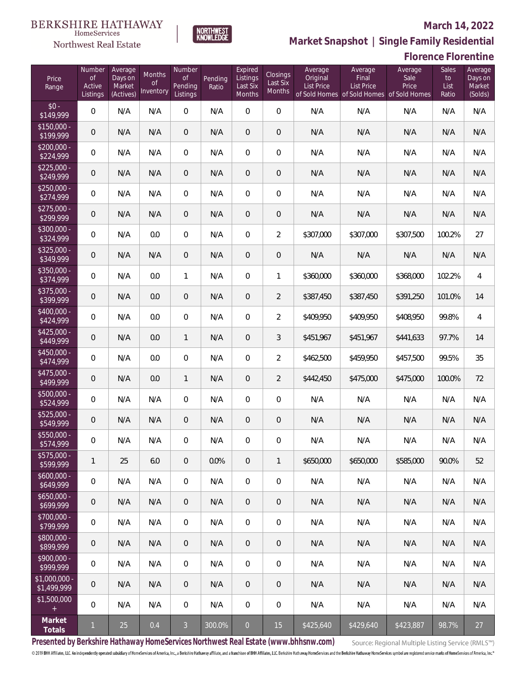#### **March 14, 2022**



**Market Snapshot | Single Family Residential**

#### **Florence Florentine**

| Price<br>Range               | Number<br><b>of</b><br>Active<br>Listings | Average<br>Days on<br>Market<br>(Actives) | <b>Months</b><br>Οf<br>Inventory | Number<br><b>of</b><br>Pending<br>Listings | Pending<br>Ratio | Expired<br>Listings<br>Last Six<br>Months | Closings<br>Last Six<br>Months | Average<br>Original<br>List Price | Average<br>Final<br><b>List Price</b><br>of Sold Homes of Sold Homes of Sold Homes | Average<br>Sale<br>Price | <b>Sales</b><br>to<br>List<br>Ratio | Average<br>Days on<br>Market<br>(Solds) |
|------------------------------|-------------------------------------------|-------------------------------------------|----------------------------------|--------------------------------------------|------------------|-------------------------------------------|--------------------------------|-----------------------------------|------------------------------------------------------------------------------------|--------------------------|-------------------------------------|-----------------------------------------|
| $$0 -$<br>\$149,999          | $\overline{0}$                            | N/A                                       | N/A                              | $\overline{0}$                             | N/A              | $\overline{0}$                            | $\overline{0}$                 | N/A                               | N/A                                                                                | N/A                      | N/A                                 | N/A                                     |
| $$150,000 -$<br>\$199,999    | 0                                         | N/A                                       | N/A                              | $\overline{0}$                             | N/A              | $\overline{0}$                            | $\overline{0}$                 | N/A                               | N/A                                                                                | N/A                      | N/A                                 | N/A                                     |
| $$200,000 -$<br>\$224,999    | $\mathsf{O}\xspace$                       | N/A                                       | N/A                              | $\Omega$                                   | N/A              | $\overline{0}$                            | $\overline{0}$                 | N/A                               | N/A                                                                                | N/A                      | N/A                                 | N/A                                     |
| $$225,000 -$<br>\$249,999    | $\overline{0}$                            | N/A                                       | N/A                              | $\overline{0}$                             | N/A              | $\overline{0}$                            | $\overline{0}$                 | N/A                               | N/A                                                                                | N/A                      | N/A                                 | N/A                                     |
| $$250,000 -$<br>\$274,999    | $\mathsf{O}\xspace$                       | N/A                                       | N/A                              | $\overline{0}$                             | N/A              | $\overline{0}$                            | $\overline{0}$                 | N/A                               | N/A                                                                                | N/A                      | N/A                                 | N/A                                     |
| $$275,000 -$<br>\$299,999    | $\overline{0}$                            | N/A                                       | N/A                              | $\overline{0}$                             | N/A              | $\overline{0}$                            | $\theta$                       | N/A                               | N/A                                                                                | N/A                      | N/A                                 | N/A                                     |
| $$300,000 -$<br>\$324,999    | $\mathsf{O}\xspace$                       | N/A                                       | 0.0                              | $\overline{0}$                             | N/A              | $\overline{0}$                            | 2                              | \$307,000                         | \$307,000                                                                          | \$307,500                | 100.2%                              | 27                                      |
| $$325,000 -$<br>\$349,999    | 0                                         | N/A                                       | N/A                              | $\overline{0}$                             | N/A              | $\overline{0}$                            | $\boldsymbol{0}$               | N/A                               | N/A                                                                                | N/A                      | N/A                                 | N/A                                     |
| $$350,000 -$<br>\$374,999    | $\mathsf{O}\xspace$                       | N/A                                       | 0.0                              | $\mathbf{1}$                               | N/A              | $\overline{0}$                            | $\mathbf{1}$                   | \$360,000                         | \$360,000                                                                          | \$368,000                | 102.2%                              | $\overline{4}$                          |
| $$375,000 -$<br>\$399,999    | $\overline{0}$                            | N/A                                       | 0.0                              | $\overline{0}$                             | N/A              | $\overline{0}$                            | $\overline{2}$                 | \$387,450                         | \$387,450                                                                          | \$391,250                | 101.0%                              | 14                                      |
| $$400,000 -$<br>\$424,999    | $\mathsf{O}\xspace$                       | N/A                                       | 0.0                              | $\overline{0}$                             | N/A              | $\overline{0}$                            | $\overline{2}$                 | \$409,950                         | \$409,950                                                                          | \$408,950                | 99.8%                               | $\overline{4}$                          |
| $$425,000 -$<br>\$449,999    | 0                                         | N/A                                       | 0.0                              | $\mathbf{1}$                               | N/A              | $\overline{0}$                            | 3                              | \$451,967                         | \$451,967                                                                          | \$441,633                | 97.7%                               | 14                                      |
| $$450.000 -$<br>\$474,999    | $\mathsf{O}\xspace$                       | N/A                                       | 0.0                              | $\overline{0}$                             | N/A              | $\mathbf 0$                               | $\overline{2}$                 | \$462,500                         | \$459,950                                                                          | \$457,500                | 99.5%                               | 35                                      |
| \$475,000 -<br>\$499,999     | $\overline{0}$                            | N/A                                       | 0.0                              | $\mathbf{1}$                               | N/A              | $\overline{0}$                            | $\overline{2}$                 | \$442,450                         | \$475,000                                                                          | \$475,000                | 100.0%                              | 72                                      |
| $$500,000 -$<br>\$524,999    | $\mathsf{O}\xspace$                       | N/A                                       | N/A                              | $\overline{0}$                             | N/A              | $\overline{0}$                            | $\mathsf{O}\xspace$            | N/A                               | N/A                                                                                | N/A                      | N/A                                 | N/A                                     |
| \$525,000 -<br>\$549,999     | 0                                         | N/A                                       | N/A                              | $\overline{0}$                             | N/A              | $\overline{0}$                            | $\mathbf 0$                    | N/A                               | N/A                                                                                | N/A                      | N/A                                 | N/A                                     |
| \$550,000 -<br>\$574,999     | 0                                         | N/A                                       | N/A                              | $\overline{0}$                             | N/A              | $\mathbf{0}$                              | $\mathsf{O}\xspace$            | N/A                               | N/A                                                                                | N/A                      | N/A                                 | N/A                                     |
| \$575,000 -<br>\$599,999     | $\mathbf{1}$                              | 25                                        | $6.0\,$                          | $\mathbf 0$                                | 0.0%             | $\mathbf 0$                               | $\mathbf{1}$                   | \$650,000                         | \$650,000                                                                          | \$585,000                | 90.0%                               | 52                                      |
| $$600,000 -$<br>\$649,999    | $\mathbf 0$                               | N/A                                       | N/A                              | $\overline{0}$                             | N/A              | $\mathbf 0$                               | $\mathbf 0$                    | N/A                               | N/A                                                                                | N/A                      | N/A                                 | N/A                                     |
| $$650,000 -$<br>\$699,999    | $\mathsf{O}\xspace$                       | N/A                                       | N/A                              | $\sqrt{0}$                                 | N/A              | $\overline{0}$                            | $\mathbf 0$                    | N/A                               | N/A                                                                                | N/A                      | N/A                                 | N/A                                     |
| \$700,000 -<br>\$799,999     | 0                                         | N/A                                       | N/A                              | $\mathbf 0$                                | N/A              | 0                                         | $\,0\,$                        | N/A                               | N/A                                                                                | N/A                      | N/A                                 | N/A                                     |
| \$800,000 -<br>\$899,999     | $\mathsf{O}\xspace$                       | N/A                                       | N/A                              | $\sqrt{0}$                                 | N/A              | $\overline{0}$                            | $\mathbf 0$                    | N/A                               | N/A                                                                                | N/A                      | N/A                                 | N/A                                     |
| \$900,000 -<br>\$999,999     | 0                                         | N/A                                       | N/A                              | $\mathbf 0$                                | N/A              | 0                                         | $\boldsymbol{0}$               | N/A                               | N/A                                                                                | N/A                      | N/A                                 | N/A                                     |
| \$1,000,000 -<br>\$1,499,999 | $\mathbf 0$                               | N/A                                       | N/A                              | $\sqrt{0}$                                 | N/A              | $\overline{0}$                            | $\mathbf 0$                    | N/A                               | N/A                                                                                | N/A                      | N/A                                 | N/A                                     |
| \$1,500,000<br>$\pm$         | 0                                         | N/A                                       | N/A                              | $\mathbf 0$                                | N/A              | 0                                         | $\,0\,$                        | N/A                               | N/A                                                                                | N/A                      | N/A                                 | N/A                                     |
| Market<br>Totals             | $\mathbf{1}$                              | 25                                        | 0.4                              | $\overline{3}$                             | 300.0%           | $\boldsymbol{0}$                          | 15                             | \$425,640                         | \$429,640                                                                          | \$423,887                | 98.7%                               | 27                                      |

**Presented by Berkshire Hathaway HomeServices Northwest Real Estate (www.bhhsnw.com)**

Source: Regional Multiple Listing Service (RMLS™)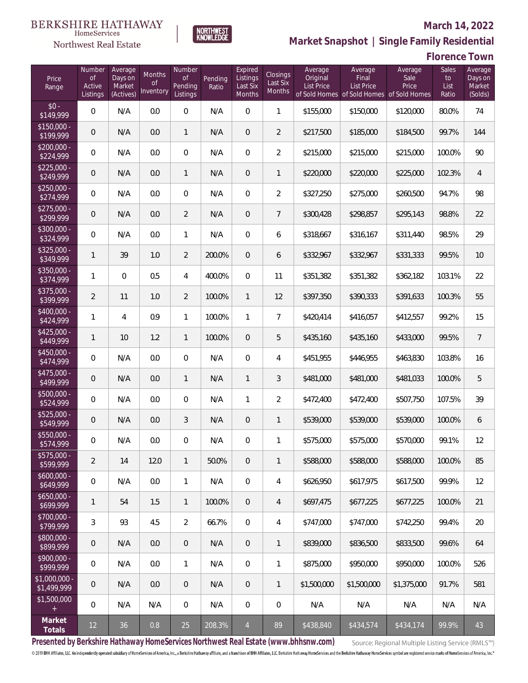

#### **March 14, 2022**

**Market Snapshot | Single Family Residential**

## **Florence Town**

| Price<br>Range               | Number<br><b>of</b><br>Active<br>Listings | Average<br>Days on<br>Market<br>(Actives) | <b>Months</b><br><b>of</b><br>Inventory | Number<br>of<br>Pending<br>Listings | Pending<br>Ratio | Expired<br>Listings<br>Last Six<br>Months | Closings<br>Last Six<br><b>Months</b> | Average<br>Original<br>List Price | Average<br>Final<br><b>List Price</b> | Average<br>Sale<br>Price<br>of Sold Homes of Sold Homes of Sold Homes | Sales<br>to<br>List<br>Ratio | Average<br>Days on<br>Market<br>(Solds) |
|------------------------------|-------------------------------------------|-------------------------------------------|-----------------------------------------|-------------------------------------|------------------|-------------------------------------------|---------------------------------------|-----------------------------------|---------------------------------------|-----------------------------------------------------------------------|------------------------------|-----------------------------------------|
| $$0 -$<br>\$149,999          | $\overline{0}$                            | N/A                                       | 0.0                                     | $\overline{0}$                      | N/A              | $\overline{0}$                            | $\mathbf{1}$                          | \$155,000                         | \$150,000                             | \$120,000                                                             | 80.0%                        | 74                                      |
| $$150,000 -$<br>\$199,999    | $\overline{0}$                            | N/A                                       | 0.0                                     | $\mathbf{1}$                        | N/A              | $\overline{0}$                            | $\overline{2}$                        | \$217,500                         | \$185,000                             | \$184,500                                                             | 99.7%                        | 144                                     |
| $$200,000 -$<br>\$224,999    | $\overline{0}$                            | N/A                                       | 0.0                                     | $\overline{0}$                      | N/A              | $\Omega$                                  | $\overline{2}$                        | \$215,000                         | \$215,000                             | \$215,000                                                             | 100.0%                       | 90                                      |
| $$225,000 -$<br>\$249,999    | $\overline{0}$                            | N/A                                       | 0.0                                     | $\mathbf{1}$                        | N/A              | $\overline{0}$                            | $\mathbf{1}$                          | \$220,000                         | \$220,000                             | \$225,000                                                             | 102.3%                       | $\overline{4}$                          |
| $$250,000 -$<br>\$274,999    | $\overline{0}$                            | N/A                                       | 0.0                                     | $\overline{0}$                      | N/A              | $\overline{0}$                            | $\overline{2}$                        | \$327,250                         | \$275,000                             | \$260,500                                                             | 94.7%                        | 98                                      |
| $$275,000 -$<br>\$299,999    | $\overline{0}$                            | N/A                                       | 0.0                                     | $\overline{2}$                      | N/A              | $\overline{0}$                            | $\overline{7}$                        | \$300,428                         | \$298,857                             | \$295,143                                                             | 98.8%                        | 22                                      |
| $$300,000 -$<br>\$324,999    | $\overline{0}$                            | N/A                                       | 0.0                                     | $\mathbf{1}$                        | N/A              | $\overline{0}$                            | 6                                     | \$318,667                         | \$316,167                             | \$311,440                                                             | 98.5%                        | 29                                      |
| $$325,000 -$<br>\$349,999    | $\mathbf{1}$                              | 39                                        | 1.0                                     | $\overline{2}$                      | 200.0%           | $\overline{0}$                            | 6                                     | \$332,967                         | \$332,967                             | \$331,333                                                             | 99.5%                        | 10                                      |
| $$350,000 -$<br>\$374,999    | 1                                         | $\overline{0}$                            | 0.5                                     | 4                                   | 400.0%           | $\overline{0}$                            | 11                                    | \$351,382                         | \$351,382                             | \$362,182                                                             | 103.1%                       | 22                                      |
| $$375,000 -$<br>\$399,999    | $\overline{2}$                            | 11                                        | 1.0                                     | $\overline{2}$                      | 100.0%           | $\mathbf{1}$                              | 12                                    | \$397,350                         | \$390,333                             | \$391,633                                                             | 100.3%                       | 55                                      |
| $$400,000 -$<br>\$424,999    | $\mathbf{1}$                              | 4                                         | 0.9                                     | 1                                   | 100.0%           | 1                                         | $\overline{7}$                        | \$420,414                         | \$416,057                             | \$412,557                                                             | 99.2%                        | 15                                      |
| $$425,000 -$<br>\$449,999    | $\mathbf{1}$                              | 10                                        | 1.2                                     | $\mathbf{1}$                        | 100.0%           | $\overline{0}$                            | 5                                     | \$435,160                         | \$435,160                             | \$433,000                                                             | 99.5%                        | $\overline{7}$                          |
| $$450,000 -$<br>\$474,999    | $\mathbf{0}$                              | N/A                                       | 0.0                                     | $\overline{0}$                      | N/A              | $\overline{0}$                            | 4                                     | \$451,955                         | \$446,955                             | \$463,830                                                             | 103.8%                       | 16                                      |
| $$475,000 -$<br>\$499,999    | $\mathbf 0$                               | N/A                                       | 0.0                                     | $\mathbf{1}$                        | N/A              | $\mathbf{1}$                              | 3                                     | \$481,000                         | \$481,000                             | \$481,033                                                             | 100.0%                       | 5                                       |
| \$500,000 -<br>\$524,999     | $\overline{0}$                            | N/A                                       | 0.0                                     | $\overline{0}$                      | N/A              | 1                                         | $\overline{2}$                        | \$472,400                         | \$472,400                             | \$507,750                                                             | 107.5%                       | 39                                      |
| \$525,000 -<br>\$549,999     | $\mathbf 0$                               | N/A                                       | 0.0                                     | 3                                   | N/A              | 0                                         | $\mathbf{1}$                          | \$539,000                         | \$539,000                             | \$539,000                                                             | 100.0%                       | 6                                       |
| \$550,000 -<br>\$574,999     | $\mathbf 0$                               | N/A                                       | 0.0                                     | $\overline{0}$                      | N/A              | $\overline{0}$                            | 1                                     | \$575,000                         | \$575,000                             | \$570,000                                                             | 99.1%                        | 12                                      |
| \$575,000 -<br>\$599,999     | $\overline{2}$                            | 14                                        | 12.0                                    | $\mathbf{1}$                        | 50.0%            | 0                                         | $\mathbf{1}$                          | \$588,000                         | \$588,000                             | \$588,000                                                             | 100.0%                       | 85                                      |
| $$600,000 -$<br>\$649,999    | $\mathbf 0$                               | N/A                                       | 0.0                                     | $\mathbf{1}$                        | N/A              | $\mathbb O$                               | 4                                     | \$626,950                         | \$617,975                             | \$617,500                                                             | 99.9%                        | 12                                      |
| $$650,000 -$<br>\$699,999    | $\mathbf{1}$                              | 54                                        | 1.5                                     | $\mathbf{1}$                        | 100.0%           | $\overline{0}$                            | 4                                     | \$697,475                         | \$677,225                             | \$677,225                                                             | 100.0%                       | 21                                      |
| \$700,000 -<br>\$799,999     | 3                                         | 93                                        | 4.5                                     | $\overline{2}$                      | 66.7%            | $\mathbf 0$                               | 4                                     | \$747,000                         | \$747,000                             | \$742,250                                                             | 99.4%                        | 20                                      |
| \$800,000 -<br>\$899,999     | 0                                         | N/A                                       | 0.0                                     | $\overline{0}$                      | N/A              | $\overline{0}$                            | 1                                     | \$839,000                         | \$836,500                             | \$833,500                                                             | 99.6%                        | 64                                      |
| \$900,000 -<br>\$999,999     | 0                                         | N/A                                       | 0.0                                     | $\mathbf{1}$                        | N/A              | $\mathbb O$                               | 1                                     | \$875,000                         | \$950,000                             | \$950,000                                                             | 100.0%                       | 526                                     |
| \$1,000,000 -<br>\$1,499,999 | $\mathbf 0$                               | N/A                                       | 0.0                                     | $\overline{0}$                      | N/A              | $\mathbf 0$                               | $\mathbf{1}$                          | \$1,500,000                       | \$1,500,000                           | \$1,375,000                                                           | 91.7%                        | 581                                     |
| \$1,500,000<br>$+$           | $\overline{0}$                            | N/A                                       | N/A                                     | $\overline{0}$                      | N/A              | $\mathbf 0$                               | 0                                     | N/A                               | N/A                                   | N/A                                                                   | N/A                          | N/A                                     |
| Market<br>Totals             | $12 \overline{)}$                         | 36                                        | $0.8\,$                                 | 25                                  | 208.3%           | $\overline{4}$                            | 89                                    | \$438,840                         | \$434,574                             | \$434,174                                                             | 99.9%                        | 43                                      |

NORTHWEST<br>KNOWLFDGF

**Presented by Berkshire Hathaway HomeServices Northwest Real Estate (www.bhhsnw.com)**

Source: Regional Multiple Listing Service (RMLS™)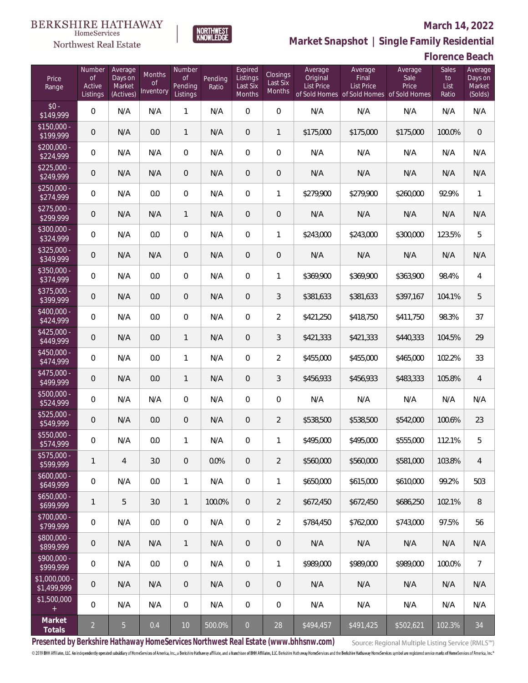### Northwest Real Estate

#### **March 14, 2022**

**Market Snapshot | Single Family Residential**

# **Florence Beach**

| Price<br>Range                   | Number<br><b>of</b><br>Active<br>Listings | Average<br>Days on<br>Market<br>(Actives) | <b>Months</b><br><b>of</b><br>Inventory | Number<br><b>of</b><br>Pending<br>Listings | Pending<br>Ratio | Expired<br>Listings<br>Last Six<br>Months | Closings<br>Last Six<br>Months | Average<br>Original<br><b>List Price</b> | Average<br>Final<br>List Price<br>of Sold Homes of Sold Homes of Sold Homes | Average<br>Sale<br>Price | Sales<br>to<br>List<br>Ratio | Average<br>Days on<br>Market<br>(Solds) |
|----------------------------------|-------------------------------------------|-------------------------------------------|-----------------------------------------|--------------------------------------------|------------------|-------------------------------------------|--------------------------------|------------------------------------------|-----------------------------------------------------------------------------|--------------------------|------------------------------|-----------------------------------------|
| $$0 -$<br>\$149,999              | $\overline{0}$                            | N/A                                       | N/A                                     | 1                                          | N/A              | $\Omega$                                  | $\overline{0}$                 | N/A                                      | N/A                                                                         | N/A                      | N/A                          | N/A                                     |
| $\sqrt{$150,000}$ -<br>\$199,999 | $\overline{0}$                            | N/A                                       | 0.0                                     | $\mathbf{1}$                               | N/A              | $\overline{0}$                            | $\mathbf{1}$                   | \$175,000                                | \$175,000                                                                   | \$175,000                | 100.0%                       | $\overline{0}$                          |
| $$200,000 -$<br>\$224,999        | $\overline{0}$                            | N/A                                       | N/A                                     | $\overline{0}$                             | N/A              | $\overline{0}$                            | $\overline{0}$                 | N/A                                      | N/A                                                                         | N/A                      | N/A                          | N/A                                     |
| $$225,000 -$<br>\$249,999        | $\overline{0}$                            | N/A                                       | N/A                                     | $\overline{0}$                             | N/A              | $\overline{0}$                            | $\mathbf 0$                    | N/A                                      | N/A                                                                         | N/A                      | N/A                          | N/A                                     |
| $$250,000 -$<br>\$274,999        | $\overline{0}$                            | N/A                                       | 0.0                                     | $\overline{0}$                             | N/A              | $\overline{0}$                            | $\mathbf{1}$                   | \$279,900                                | \$279,900                                                                   | \$260,000                | 92.9%                        | $\mathbf{1}$                            |
| $$275,000 -$<br>\$299,999        | $\overline{0}$                            | N/A                                       | N/A                                     | $\mathbf{1}$                               | N/A              | $\overline{0}$                            | $\mathbf 0$                    | N/A                                      | N/A                                                                         | N/A                      | N/A                          | N/A                                     |
| $$300,000 -$<br>\$324,999        | $\overline{0}$                            | N/A                                       | 0.0                                     | $\overline{0}$                             | N/A              | $\overline{0}$                            | 1                              | \$243,000                                | \$243,000                                                                   | \$300,000                | 123.5%                       | 5                                       |
| $$325,000 -$<br>\$349,999        | $\mathbf 0$                               | N/A                                       | N/A                                     | $\overline{0}$                             | N/A              | 0                                         | $\mathbf 0$                    | N/A                                      | N/A                                                                         | N/A                      | N/A                          | N/A                                     |
| $$350,000 -$<br>\$374,999        | $\overline{0}$                            | N/A                                       | 0.0                                     | $\overline{0}$                             | N/A              | $\overline{0}$                            | 1                              | \$369,900                                | \$369,900                                                                   | \$363,900                | 98.4%                        | $\overline{4}$                          |
| $$375,000 -$<br>\$399,999        | $\mathbf 0$                               | N/A                                       | 0.0                                     | $\overline{0}$                             | N/A              | 0                                         | 3                              | \$381,633                                | \$381,633                                                                   | \$397,167                | 104.1%                       | 5                                       |
| $$400,000 -$<br>\$424,999        | $\overline{0}$                            | N/A                                       | 0.0                                     | $\Omega$                                   | N/A              | $\Omega$                                  | $\overline{2}$                 | \$421,250                                | \$418,750                                                                   | \$411,750                | 98.3%                        | 37                                      |
| $$425,000 -$<br>\$449,999        | $\mathbf 0$                               | N/A                                       | 0.0                                     | $\mathbf{1}$                               | N/A              | $\overline{0}$                            | 3                              | \$421,333                                | \$421,333                                                                   | \$440,333                | 104.5%                       | 29                                      |
| $$450,000 -$<br>\$474,999        | $\overline{0}$                            | N/A                                       | 0.0                                     | 1                                          | N/A              | $\Omega$                                  | $\overline{2}$                 | \$455,000                                | \$455,000                                                                   | \$465,000                | 102.2%                       | 33                                      |
| $$475,000 -$<br>\$499,999        | $\mathbf 0$                               | N/A                                       | 0.0                                     | $\mathbf{1}$                               | N/A              | $\overline{0}$                            | 3                              | \$456,933                                | \$456,933                                                                   | \$483,333                | 105.8%                       | $\overline{4}$                          |
| \$500,000 -<br>\$524,999         | $\boldsymbol{0}$                          | N/A                                       | N/A                                     | $\overline{0}$                             | N/A              | $\overline{0}$                            | 0                              | N/A                                      | N/A                                                                         | N/A                      | N/A                          | N/A                                     |
| $$525,000 -$<br>\$549,999        | $\mathbf 0$                               | N/A                                       | 0.0                                     | $\overline{0}$                             | N/A              | $\overline{0}$                            | $\overline{2}$                 | \$538,500                                | \$538,500                                                                   | \$542,000                | 100.6%                       | 23                                      |
| \$550,000 -<br>\$574,999         | 0                                         | N/A                                       | 0.0                                     | 1                                          | N/A              | $\overline{0}$                            | 1                              | \$495,000                                | \$495,000                                                                   | \$555,000                | 112.1%                       | 5                                       |
| \$575,000 -<br>\$599,999         | 1                                         | $\overline{4}$                            | 3.0                                     | $\mathbf 0$                                | 0.0%             | $\mathsf{O}\xspace$                       | $\overline{2}$                 | \$560,000                                | \$560,000                                                                   | \$581,000                | 103.8%                       | $\overline{4}$                          |
| $$600,000 -$<br>\$649,999        | $\mathbf 0$                               | N/A                                       | 0.0                                     | $\mathbf{1}$                               | N/A              | $\overline{0}$                            | 1                              | \$650,000                                | \$615,000                                                                   | \$610,000                | 99.2%                        | 503                                     |
| $$650,000 -$<br>\$699,999        | $\mathbf{1}$                              | 5                                         | 3.0                                     | $\mathbf{1}$                               | 100.0%           | $\overline{0}$                            | $\overline{2}$                 | \$672,450                                | \$672,450                                                                   | \$686,250                | 102.1%                       | 8                                       |
| \$700,000 -<br>\$799,999         | 0                                         | N/A                                       | 0.0                                     | $\overline{0}$                             | N/A              | $\mathbf 0$                               | $\overline{2}$                 | \$784,450                                | \$762,000                                                                   | \$743,000                | 97.5%                        | 56                                      |
| \$800,000 -<br>\$899,999         | 0                                         | N/A                                       | N/A                                     | $\mathbf{1}$                               | N/A              | $\mathbf 0$                               | $\mathbf 0$                    | N/A                                      | N/A                                                                         | N/A                      | N/A                          | N/A                                     |
| \$900,000 -<br>\$999,999         | 0                                         | N/A                                       | 0.0                                     | $\overline{0}$                             | N/A              | $\mathbb O$                               | 1                              | \$989,000                                | \$989,000                                                                   | \$989,000                | 100.0%                       | $\overline{7}$                          |
| \$1,000,000 -<br>\$1,499,999     | 0                                         | N/A                                       | N/A                                     | $\boldsymbol{0}$                           | N/A              | $\mathbf 0$                               | $\mathbf 0$                    | N/A                                      | N/A                                                                         | N/A                      | N/A                          | N/A                                     |
| \$1,500,000<br>$+$               | $\overline{0}$                            | N/A                                       | N/A                                     | $\overline{0}$                             | N/A              | $\mathbf 0$                               | 0                              | N/A                                      | N/A                                                                         | N/A                      | N/A                          | N/A                                     |
| Market<br>Totals                 | $\overline{a}$                            | 5 <sub>1</sub>                            | $0.4\,$                                 | $10\,$                                     | 500.0%           | $\boldsymbol{0}$                          | $28\,$                         | \$494,457                                | \$491,425                                                                   | \$502,621                | 102.3%                       | 34                                      |

NORTHWEST<br>KNOWLFDGF

**Presented by Berkshire Hathaway HomeServices Northwest Real Estate (www.bhhsnw.com)**

Source: Regional Multiple Listing Service (RMLS™)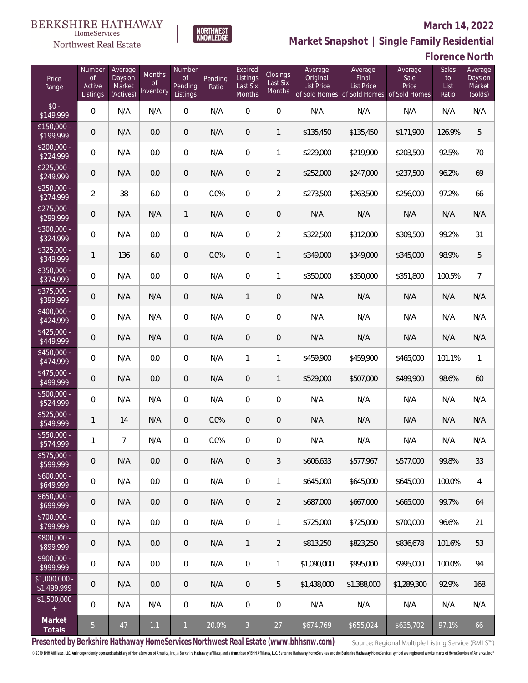# $\begin{array}{llll} \texttt{BERKSHIRE} \texttt{ HATHAWAY} \\ \texttt{\tiny HomeServices} \end{array}$

### Northwest Real Estate

#### **March 14, 2022**



| Florence North |  |  |
|----------------|--|--|
|                |  |  |

| Price<br>Range                | Number<br><b>of</b><br>Active<br>Listings | Average<br>Days on<br>Market<br>(Actives) | Months<br><b>of</b><br>Inventory | Number<br><b>of</b><br>Pending<br>Listings | Pending<br>Ratio | Expired<br>Listings<br>Last Six<br>Months | Closings<br>Last Six<br>Months | Average<br>Original<br><b>List Price</b> | Average<br>Final<br><b>List Price</b> | Average<br>Sale<br>Price<br>of Sold Homes of Sold Homes of Sold Homes | <b>Sales</b><br>to<br>List<br>Ratio | Average<br>Days on<br>Market<br>(Solds) |
|-------------------------------|-------------------------------------------|-------------------------------------------|----------------------------------|--------------------------------------------|------------------|-------------------------------------------|--------------------------------|------------------------------------------|---------------------------------------|-----------------------------------------------------------------------|-------------------------------------|-----------------------------------------|
| $$0 -$<br>\$149,999           | $\overline{0}$                            | N/A                                       | N/A                              | $\overline{0}$                             | N/A              | $\Omega$                                  | $\overline{0}$                 | N/A                                      | N/A                                   | N/A                                                                   | N/A                                 | N/A                                     |
| $$150,000 -$<br>\$199,999     | $\overline{0}$                            | N/A                                       | 0.0                              | $\overline{0}$                             | N/A              | $\overline{0}$                            | $\mathbf{1}$                   | \$135,450                                | \$135,450                             | \$171,900                                                             | 126.9%                              | 5                                       |
| $$200,000 -$<br>\$224,999     | $\overline{0}$                            | N/A                                       | 0.0                              | $\overline{0}$                             | N/A              | $\mathbf{0}$                              | $\mathbf{1}$                   | \$229,000                                | \$219,900                             | \$203,500                                                             | 92.5%                               | 70                                      |
| $$225,000 -$<br>\$249,999     | $\overline{0}$                            | N/A                                       | 0.0                              | $\overline{0}$                             | N/A              | $\overline{0}$                            | $\overline{2}$                 | \$252,000                                | \$247,000                             | \$237,500                                                             | 96.2%                               | 69                                      |
| $$250,000 -$<br>\$274,999     | $\overline{2}$                            | 38                                        | 6.0                              | $\Omega$                                   | 0.0%             | $\Omega$                                  | $\overline{2}$                 | \$273,500                                | \$263,500                             | \$256,000                                                             | 97.2%                               | 66                                      |
| $$275,000 -$<br>\$299,999     | $\overline{0}$                            | N/A                                       | N/A                              | $\mathbf{1}$                               | N/A              | $\overline{0}$                            | $\mathbf 0$                    | N/A                                      | N/A                                   | N/A                                                                   | N/A                                 | N/A                                     |
| $$300,000 -$<br>\$324,999     | $\mathsf{O}\xspace$                       | N/A                                       | 0.0                              | $\overline{0}$                             | N/A              | $\Omega$                                  | $\overline{2}$                 | \$322,500                                | \$312,000                             | \$309,500                                                             | 99.2%                               | 31                                      |
| $$325,000 -$<br>\$349,999     | $\mathbf{1}$                              | 136                                       | 6.0                              | $\mathbf{0}$                               | 0.0%             | $\overline{0}$                            | $\mathbf{1}$                   | \$349,000                                | \$349,000                             | \$345,000                                                             | 98.9%                               | 5                                       |
| $$350,000 -$<br>\$374,999     | $\mathsf{O}\xspace$                       | N/A                                       | 0.0                              | $\overline{0}$                             | N/A              | $\overline{0}$                            | $\mathbf{1}$                   | \$350,000                                | \$350,000                             | \$351,800                                                             | 100.5%                              | $\overline{7}$                          |
| $$375,000 -$<br>\$399,999     | $\overline{0}$                            | N/A                                       | N/A                              | $\overline{0}$                             | N/A              | $\mathbf{1}$                              | $\overline{0}$                 | N/A                                      | N/A                                   | N/A                                                                   | N/A                                 | N/A                                     |
| $$400,000 -$<br>\$424,999     | $\mathsf{O}\xspace$                       | N/A                                       | N/A                              | $\overline{0}$                             | N/A              | $\Omega$                                  | $\overline{0}$                 | N/A                                      | N/A                                   | N/A                                                                   | N/A                                 | N/A                                     |
| $$425,000 -$<br>\$449,999     | $\overline{0}$                            | N/A                                       | N/A                              | $\mathbf{0}$                               | N/A              | $\overline{0}$                            | $\overline{0}$                 | N/A                                      | N/A                                   | N/A                                                                   | N/A                                 | N/A                                     |
| $$450,000 -$<br>\$474,999     | $\mathsf{O}\xspace$                       | N/A                                       | 0.0                              | $\Omega$                                   | N/A              | $\mathbf{1}$                              | $\mathbf{1}$                   | \$459,900                                | \$459,900                             | \$465,000                                                             | 101.1%                              | $\mathbf{1}$                            |
| \$475,000 -<br>\$499,999      | 0                                         | N/A                                       | 0.0                              | $\Omega$                                   | N/A              | $\overline{0}$                            | $\mathbf{1}$                   | \$529,000                                | \$507,000                             | \$499,900                                                             | 98.6%                               | 60                                      |
| $$500,000 -$<br>\$524,999     | $\overline{0}$                            | N/A                                       | N/A                              | $\Omega$                                   | N/A              | $\Omega$                                  | $\overline{0}$                 | N/A                                      | N/A                                   | N/A                                                                   | N/A                                 | N/A                                     |
| $$525,000 -$<br>\$549,999     | $\mathbf{1}$                              | 14                                        | N/A                              | $\mathbf{0}$                               | 0.0%             | $\overline{0}$                            | $\overline{0}$                 | N/A                                      | N/A                                   | N/A                                                                   | N/A                                 | N/A                                     |
| $$550,000 -$<br>\$574,999     | 1                                         | $\overline{7}$                            | N/A                              | $\overline{0}$                             | 0.0%             | $\Omega$                                  | $\overline{0}$                 | N/A                                      | N/A                                   | N/A                                                                   | N/A                                 | N/A                                     |
| \$575,000 -<br>\$599,999      | $\mathbf 0$                               | N/A                                       | 0.0                              | $\mathbf 0$                                | N/A              | $\mathbf 0$                               | 3                              | \$606,633                                | \$577,967                             | \$577,000                                                             | 99.8%                               | 33                                      |
| $$600,000 -$<br>\$649,999     | 0                                         | N/A                                       | 0.0                              | $\mathbf 0$                                | N/A              | $\overline{0}$                            | $\mathbf{1}$                   | \$645,000                                | \$645,000                             | \$645,000                                                             | 100.0%                              | 4                                       |
| $$650,000 -$<br>\$699,999     | 0                                         | N/A                                       | 0.0                              | $\overline{0}$                             | N/A              | $\mathbf 0$                               | $\overline{2}$                 | \$687,000                                | \$667,000                             | \$665,000                                                             | 99.7%                               | 64                                      |
| \$700,000 -<br>\$799,999      | 0                                         | N/A                                       | 0.0                              | $\mathbf 0$                                | N/A              | $\overline{0}$                            | $\mathbf{1}$                   | \$725,000                                | \$725,000                             | \$700,000                                                             | 96.6%                               | 21                                      |
| \$800,000 -<br>\$899,999      | 0                                         | N/A                                       | 0.0                              | $\mathbf{0}$                               | N/A              | $\mathbf{1}$                              | $\overline{2}$                 | \$813,250                                | \$823,250                             | \$836,678                                                             | 101.6%                              | 53                                      |
| \$900,000 -<br>\$999,999      | 0                                         | N/A                                       | 0.0                              | $\mathbf 0$                                | N/A              | $\overline{0}$                            | $\mathbf{1}$                   | \$1,090,000                              | \$995,000                             | \$995,000                                                             | 100.0%                              | 94                                      |
| $$1,000,000$ -<br>\$1,499,999 | 0                                         | N/A                                       | $0.0\,$                          | $\mathbf{0}$                               | N/A              | $\overline{0}$                            | 5                              | \$1,438,000                              | \$1,388,000                           | \$1,289,300                                                           | 92.9%                               | 168                                     |
| \$1,500,000<br>$+$            | 0                                         | N/A                                       | N/A                              | $\mathbf 0$                                | N/A              | $\overline{0}$                            | 0                              | N/A                                      | N/A                                   | N/A                                                                   | N/A                                 | N/A                                     |
| Market<br>Totals              | 5                                         | $47\,$                                    | $1.1$                            | 1                                          | 20.0%            | $\overline{3}$                            | $27\,$                         | \$674,769                                | \$655,024                             | \$635,702                                                             | 97.1%                               | 66                                      |

NORTHWEST<br>KNOWLFDGF

**Presented by Berkshire Hathaway HomeServices Northwest Real Estate (www.bhhsnw.com)**

Source: Regional Multiple Listing Service (RMLS™)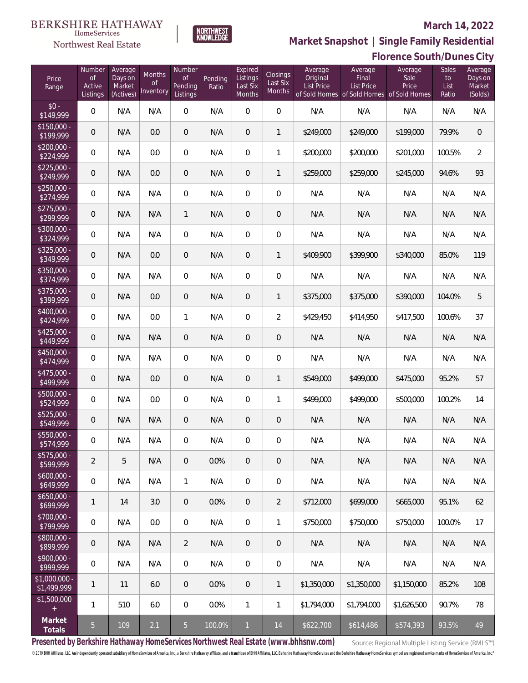# $\begin{array}{llll} \texttt{BERKSHIRE} \texttt{ HATHAWAY} \\ \texttt{\tiny HomeServices} \end{array}$

## Northwest Real Estate

### **March 14, 2022**



**Market Snapshot | Single Family Residential**

# **Florence South/Dunes City**

| Price<br>Range             | Number<br>of<br>Active<br>Listings | Average<br>Days on<br>Market<br>(Actives) | Months<br><b>of</b><br>Inventory | Number<br><b>of</b><br>Pending<br>Listings | Pending<br>Ratio | Expired<br>Listings<br>Last Six<br>Months | Closings<br>Last Six<br>Months | Average<br>Original<br><b>List Price</b> | Average<br>Final<br><b>List Price</b><br>of Sold Homes of Sold Homes of Sold Homes | Average<br>Sale<br>Price | <b>Sales</b><br>to<br>List<br>Ratio | Average<br>Days on<br>Market<br>(Solds) |
|----------------------------|------------------------------------|-------------------------------------------|----------------------------------|--------------------------------------------|------------------|-------------------------------------------|--------------------------------|------------------------------------------|------------------------------------------------------------------------------------|--------------------------|-------------------------------------|-----------------------------------------|
| $$0 -$<br>\$149,999        | $\mathsf{O}\xspace$                | N/A                                       | N/A                              | $\overline{0}$                             | N/A              | $\overline{0}$                            | $\overline{0}$                 | N/A                                      | N/A                                                                                | N/A                      | N/A                                 | N/A                                     |
| $$150,000 -$<br>\$199,999  | $\overline{0}$                     | N/A                                       | 0.0                              | $\mathbf{0}$                               | N/A              | $\overline{0}$                            | $\mathbf{1}$                   | \$249,000                                | \$249,000                                                                          | \$199,000                | 79.9%                               | $\overline{0}$                          |
| $$200,000 -$<br>\$224,999  | $\mathsf{O}\xspace$                | N/A                                       | 0.0                              | $\overline{0}$                             | N/A              | $\mathbf{0}$                              | $\mathbf{1}$                   | \$200,000                                | \$200,000                                                                          | \$201,000                | 100.5%                              | $\overline{2}$                          |
| $$225,000 -$<br>\$249,999  | $\mathbf 0$                        | N/A                                       | 0.0                              | $\overline{0}$                             | N/A              | $\overline{0}$                            | $\mathbf{1}$                   | \$259,000                                | \$259,000                                                                          | \$245,000                | 94.6%                               | 93                                      |
| $$250,000 -$<br>\$274,999  | $\mathsf{O}\xspace$                | N/A                                       | N/A                              | $\overline{0}$                             | N/A              | $\Omega$                                  | $\overline{0}$                 | N/A                                      | N/A                                                                                | N/A                      | N/A                                 | N/A                                     |
| $$275,000 -$<br>\$299,999  | $\mathbf 0$                        | N/A                                       | N/A                              | $\mathbf{1}$                               | N/A              | $\overline{0}$                            | $\overline{0}$                 | N/A                                      | N/A                                                                                | N/A                      | N/A                                 | N/A                                     |
| $$300,000 -$<br>\$324,999  | $\mathsf{O}\xspace$                | N/A                                       | N/A                              | $\overline{0}$                             | N/A              | $\overline{0}$                            | $\overline{0}$                 | N/A                                      | N/A                                                                                | N/A                      | N/A                                 | N/A                                     |
| $$325,000 -$<br>\$349,999  | $\overline{0}$                     | N/A                                       | 0.0                              | $\mathbf{0}$                               | N/A              | $\overline{0}$                            | $\mathbf{1}$                   | \$409,900                                | \$399,900                                                                          | \$340,000                | 85.0%                               | 119                                     |
| $$350,000 -$<br>\$374,999  | $\mathsf{O}\xspace$                | N/A                                       | N/A                              | $\overline{0}$                             | N/A              | $\overline{0}$                            | $\mathbf 0$                    | N/A                                      | N/A                                                                                | N/A                      | N/A                                 | N/A                                     |
| $$375,000 -$<br>\$399,999  | $\overline{0}$                     | N/A                                       | 0.0                              | $\mathbf{0}$                               | N/A              | $\overline{0}$                            | $\mathbf{1}$                   | \$375,000                                | \$375,000                                                                          | \$390,000                | 104.0%                              | 5                                       |
| $$400,000 -$<br>\$424,999  | $\mathsf{O}\xspace$                | N/A                                       | 0.0                              | $\mathbf{1}$                               | N/A              | $\overline{0}$                            | $\overline{2}$                 | \$429,450                                | \$414,950                                                                          | \$417,500                | 100.6%                              | 37                                      |
| $$425,000 -$<br>\$449,999  | $\overline{0}$                     | N/A                                       | N/A                              | $\mathbf{0}$                               | N/A              | $\overline{0}$                            | $\overline{0}$                 | N/A                                      | N/A                                                                                | N/A                      | N/A                                 | N/A                                     |
| $$450,000 -$<br>\$474,999  | $\mathsf{O}\xspace$                | N/A                                       | N/A                              | $\overline{0}$                             | N/A              | $\Omega$                                  | $\overline{0}$                 | N/A                                      | N/A                                                                                | N/A                      | N/A                                 | N/A                                     |
| $$475,000 -$<br>\$499,999  | $\overline{0}$                     | N/A                                       | 0.0                              | $\overline{0}$                             | N/A              | $\overline{0}$                            | $\mathbf{1}$                   | \$549,000                                | \$499,000                                                                          | \$475,000                | 95.2%                               | 57                                      |
| $$500,000 -$<br>\$524,999  | $\mathbf 0$                        | N/A                                       | 0.0                              | $\overline{0}$                             | N/A              | $\overline{0}$                            | $\mathbf{1}$                   | \$499,000                                | \$499,000                                                                          | \$500,000                | 100.2%                              | 14                                      |
| $$525,000 -$<br>\$549,999  | 0                                  | N/A                                       | N/A                              | $\overline{0}$                             | N/A              | $\mathbf{0}$                              | $\overline{0}$                 | N/A                                      | N/A                                                                                | N/A                      | N/A                                 | N/A                                     |
| \$550,000 -<br>\$574,999   | 0                                  | N/A                                       | N/A                              | $\overline{0}$                             | N/A              | $\overline{0}$                            | $\boldsymbol{0}$               | N/A                                      | N/A                                                                                | N/A                      | N/A                                 | N/A                                     |
| \$575,000 -<br>\$599,999   | $\overline{a}$                     | 5                                         | N/A                              | $\mathbf 0$                                | 0.0%             | $\mathbf 0$                               | $\mathbf 0$                    | N/A                                      | N/A                                                                                | N/A                      | N/A                                 | N/A                                     |
| $$600,000 -$<br>\$649,999  | 0                                  | N/A                                       | N/A                              | $\mathbf{1}$                               | N/A              | $\overline{0}$                            | 0                              | N/A                                      | N/A                                                                                | N/A                      | N/A                                 | N/A                                     |
| $$650,000 -$<br>\$699,999  | 1                                  | 14                                        | 3.0                              | $\mathbf{0}$                               | 0.0%             | $\overline{0}$                            | $\overline{2}$                 | \$712,000                                | \$699,000                                                                          | \$665,000                | 95.1%                               | 62                                      |
| \$700,000 -<br>\$799,999   | 0                                  | N/A                                       | $0.0\,$                          | $\mathbf 0$                                | N/A              | $\overline{0}$                            | 1                              | \$750,000                                | \$750,000                                                                          | \$750,000                | 100.0%                              | 17                                      |
| \$800,000 -<br>\$899,999   | 0                                  | N/A                                       | N/A                              | $\overline{2}$                             | N/A              | $\overline{0}$                            | $\mathbf 0$                    | N/A                                      | N/A                                                                                | N/A                      | N/A                                 | N/A                                     |
| \$900,000 -<br>\$999,999   | 0                                  | N/A                                       | N/A                              | $\mathbf 0$                                | N/A              | $\mathbf{0}$                              | 0                              | N/A                                      | N/A                                                                                | N/A                      | N/A                                 | N/A                                     |
| \$1,000,000<br>\$1,499,999 | 1                                  | 11                                        | $6.0\,$                          | $\mathbf{0}$                               | 0.0%             | $\overline{0}$                            | $\mathbf{1}$                   | \$1,350,000                              | \$1,350,000                                                                        | \$1,150,000              | 85.2%                               | 108                                     |
| \$1,500,000<br>$+$         | 1                                  | 510                                       | $6.0\,$                          | $\mathbf 0$                                | 0.0%             | $\mathbf{1}$                              | $\mathbf{1}$                   | \$1,794,000                              | \$1,794,000                                                                        | \$1,626,500              | 90.7%                               | 78                                      |
| Market<br>Totals           | $\overline{5}$                     | 109                                       | 2.1                              | $5\phantom{.}$                             | $100.0\%$        | $\mathbf{1}$                              | $14$                           | \$622,700                                | \$614,486                                                                          | \$574,393                | 93.5%                               | 49                                      |

**Presented by Berkshire Hathaway HomeServices Northwest Real Estate (www.bhhsnw.com)**

Source: Regional Multiple Listing Service (RMLS™)